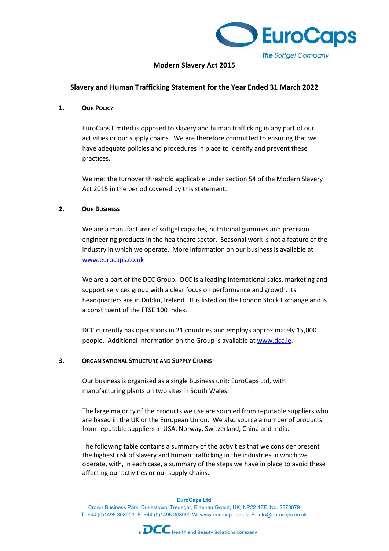

# Modern Slavery Act 2015

# Slavery and Human Trafficking Statement for the Year Ended 31 March 2022

### 1. OUR POLICY

EuroCaps Limited is opposed to slavery and human trafficking in any part of our activities or our supply chains. We are therefore committed to ensuring that we have adequate policies and procedures in place to identify and prevent these practices.

We met the turnover threshold applicable under section 54 of the Modern Slavery Act 2015 in the period covered by this statement.

# 2. OUR BUSINESS

We are a manufacturer of softgel capsules, nutritional gummies and precision engineering products in the healthcare sector. Seasonal work is not a feature of the industry in which we operate. More information on our business is available at www.eurocaps.co.uk

We are a part of the DCC Group. DCC is a leading international sales, marketing and support services group with a clear focus on performance and growth. Its headquarters are in Dublin, Ireland. It is listed on the London Stock Exchange and is a constituent of the FTSE 100 Index.

DCC currently has operations in 21 countries and employs approximately 15,000 people. Additional information on the Group is available at www.dcc.ie.

#### 3. ORGANISATIONAL STRUCTURE AND SUPPLY CHAINS

Our business is organised as a single business unit: EuroCaps Ltd, with manufacturing plants on two sites in South Wales.

The large majority of the products we use are sourced from reputable suppliers who are based in the UK or the European Union. We also source a number of products from reputable suppliers in USA, Norway, Switzerland, China and India.

The following table contains a summary of the activities that we consider present the highest risk of slavery and human trafficking in the industries in which we operate, with, in each case, a summary of the steps we have in place to avoid these affecting our activities or our supply chains.

#### EuroCaps Ltd

Crown Business Park, Dukestown, Tredegar, Blaenau Gwent, UK, NP22 4EF. No. 2878879 T. +44 (0)1495 308900 F. +44 (0)1495 308990 W. www.eurocaps.co.uk E. info@eurocaps.co.uk

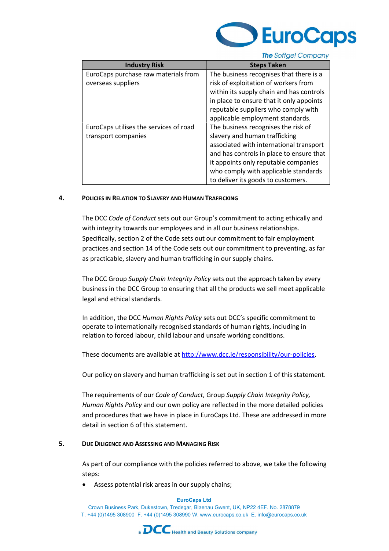

**The Softgel Company** 

| <b>Industry Risk</b>                   | <b>Steps Taken</b>                       |
|----------------------------------------|------------------------------------------|
| EuroCaps purchase raw materials from   | The business recognises that there is a  |
| overseas suppliers                     | risk of exploitation of workers from     |
|                                        | within its supply chain and has controls |
|                                        | in place to ensure that it only appoints |
|                                        | reputable suppliers who comply with      |
|                                        | applicable employment standards.         |
| EuroCaps utilises the services of road | The business recognises the risk of      |
| transport companies                    | slavery and human trafficking            |
|                                        | associated with international transport  |
|                                        | and has controls in place to ensure that |
|                                        | it appoints only reputable companies     |
|                                        | who comply with applicable standards     |
|                                        | to deliver its goods to customers.       |

#### 4. POLICIES IN RELATION TO SLAVERY AND HUMAN TRAFFICKING

The DCC Code of Conduct sets out our Group's commitment to acting ethically and with integrity towards our employees and in all our business relationships. Specifically, section 2 of the Code sets out our commitment to fair employment practices and section 14 of the Code sets out our commitment to preventing, as far as practicable, slavery and human trafficking in our supply chains.

The DCC Group Supply Chain Integrity Policy sets out the approach taken by every business in the DCC Group to ensuring that all the products we sell meet applicable legal and ethical standards.

In addition, the DCC Human Rights Policy sets out DCC's specific commitment to operate to internationally recognised standards of human rights, including in relation to forced labour, child labour and unsafe working conditions.

These documents are available at http://www.dcc.ie/responsibility/our-policies.

Our policy on slavery and human trafficking is set out in section 1 of this statement.

The requirements of our Code of Conduct, Group Supply Chain Integrity Policy, Human Rights Policy and our own policy are reflected in the more detailed policies and procedures that we have in place in EuroCaps Ltd. These are addressed in more detail in section 6 of this statement.

# 5. DUE DILIGENCE AND ASSESSING AND MANAGING RISK

As part of our compliance with the policies referred to above, we take the following steps:

Assess potential risk areas in our supply chains;

#### EuroCaps Ltd

Crown Business Park, Dukestown, Tredegar, Blaenau Gwent, UK, NP22 4EF. No. 2878879 T. +44 (0)1495 308900 F. +44 (0)1495 308990 W. www.eurocaps.co.uk E. info@eurocaps.co.uk